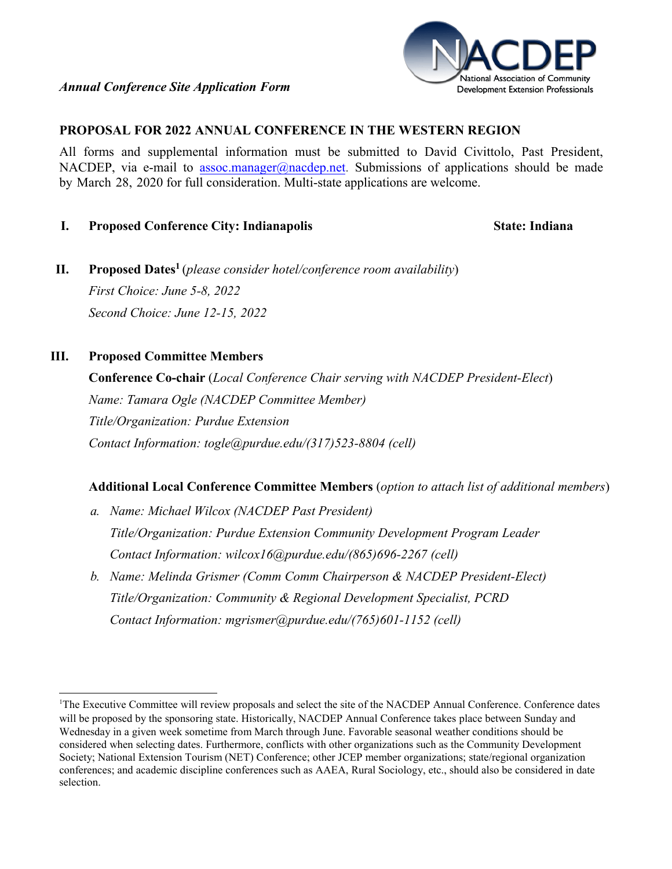

#### **PROPOSAL FOR 2022 ANNUAL CONFERENCE IN THE WESTERN REGION**

All forms and supplemental information must be submitted to David Civittolo, Past President, NACDEP, via e-mail t[o assoc.manager@nacdep.net.](mailto:assoc.manager@nacdep.net) Submissions of applications should be made by March 28, 2020 for full consideration. Multi-state applications are welcome.

#### **I. Proposed Conference City: Indianapolis State: Indiana**

**II. Proposed Dates[1](#page-0-0)** (*please consider hotel/conference room availability*) *First Choice: June 5-8, 2022 Second Choice: June 12-15, 2022*

# **III. Proposed Committee Members**

**Conference Co-chair** (*Local Conference Chair serving with NACDEP President-Elect*) *Name: Tamara Ogle (NACDEP Committee Member) Title/Organization: Purdue Extension Contact Information: togle@purdue.edu/(317)523-8804 (cell)*

### **Additional Local Conference Committee Members** (*option to attach list of additional members*)

- *a. Name: Michael Wilcox (NACDEP Past President) Title/Organization: Purdue Extension Community Development Program Leader Contact Information: wilcox16@purdue.edu/(865)696-2267 (cell)*
- *b. Name: Melinda Grismer (Comm Comm Chairperson & NACDEP President-Elect) Title/Organization: Community & Regional Development Specialist, PCRD Contact Information: mgrismer@purdue.edu/(765)601-1152 (cell)*

<span id="page-0-0"></span><sup>&</sup>lt;sup>1</sup>The Executive Committee will review proposals and select the site of the NACDEP Annual Conference. Conference dates will be proposed by the sponsoring state. Historically, NACDEP Annual Conference takes place between Sunday and Wednesday in a given week sometime from March through June. Favorable seasonal weather conditions should be considered when selecting dates. Furthermore, conflicts with other organizations such as the Community Development Society; National Extension Tourism (NET) Conference; other JCEP member organizations; state/regional organization conferences; and academic discipline conferences such as AAEA, Rural Sociology, etc., should also be considered in date selection.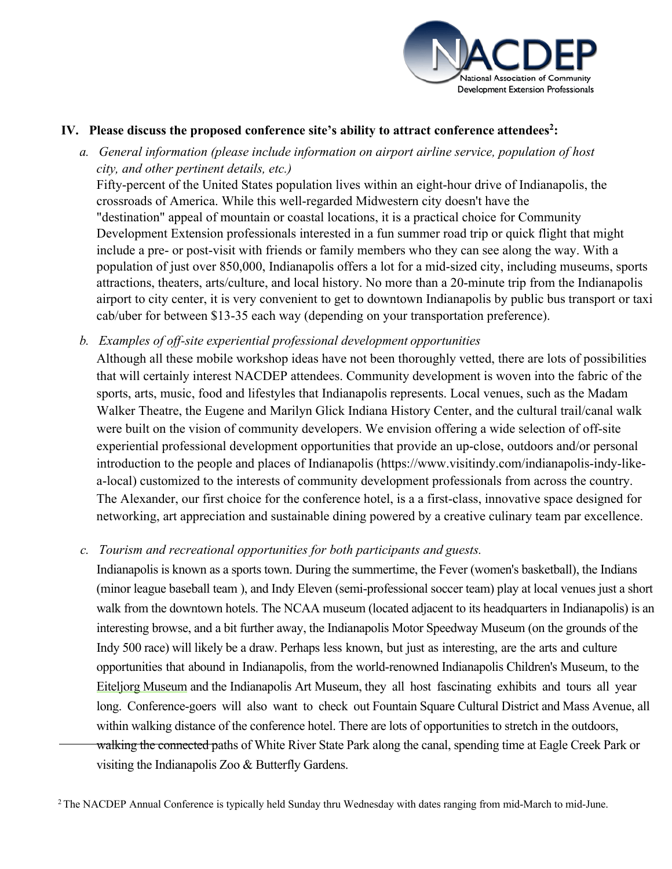

## ,9. **Please discuss the proposed conference site's ability to attract conference attendees<sup>2</sup> :**

*a. General information (please include information on airport airline service, population [of](#page-1-0) host city, and other pertinent details, etc.)*

Fifty-percent of the United States population lives within an eight-hour drive of Indianapolis, the crossroads of America. While this well-regarded Midwestern city doesn't have the "destination" appeal of mountain or coastal locations, it is a practical choice for Community Development Extension professionals interested in a fun summer road trip or quick flight that might include a pre- or post-visit with friends or family members who they can see along the way. With a population of just over 850,000, Indianapolis offers a lot for a mid-sized city. No more than a 20-minute trip from the top-rated Indianapolis airport, it is very convenient to get to downtown Indianapolis by public bus transport or taxi cab/uber for between \$13-35 each way (depending on your transportation preference). Indianapolis boasts a compact, walkable city center that has you strolling past major attractions and top-notch restaurants.

*b. Examples of off-site experiential professional development opportunities*

Although all of the mobile workshop ideas have not been thoroughly vetted, there are lots of possibilities that will certainly interest NACDEP attendees. Community development is woven into the fabric of the sports, arts, music, food and lifestyles that Indianapolis represents. Local venues, such as the Madam Walker Theatre, the Eugene and Marilyn Glick Indiana History Center, and the eight-mile cultural trail were built on the vision of community developers. We envision offering a wide selection of off-site experiential professional development opportunities that provide an up-close, outdoors and/or personal introduction to the people and places of Indianapolis (https://www.visitindy.com/indianapolis-indy-like-alocal) customized to the interests of community development professionals from across the country. The Alexander, our first choice for the conference hotel, is a a first-class, innovative space designed for networking, art appreciation and sustainable dining powered by a creative culinary team par excellence.

### *c. Tourism and recreational opportunities for both participants and guests.*

Indianapolis is known as a sports town. During the summertime, the Fever (women's basketball), the Indians (minor league baseball team ), and Indy Eleven (semi-professional soccer team) play at local venues just a short walk from the downtown hotels. The NCAA museum (located adjacent to its headquarters in Indianapolis) is an interesting browse, and a bit further away, the Indianapolis Motor Speedway Museum (on the grounds of the Indy 500 race) will likely be a draw. Perhaps less known, but just as interesting, are the arts and culture opportunities that abound in Indianapolis, from the world-renowned Indianapolis Children's Museum, to the Eiteljorg Museum and the Indianapolis Museum of Art (recently renamed Newfields), they all host fascinating exhibits and tours all year long. Conference-goers will also want to check out Fountain Square Cultural District and Mass Avenue, all within walking distance of the conference hotel. There are lots of opportunities to stretch in the outdoors, walking (or biking, using Pacers Bikeshare) the connected paths of White River State Park along the canal, spending time at Eagle Creek Park or visiting the Indianapolis Zoo & Butterfly Gardens.

<span id="page-1-0"></span><sup>&</sup>lt;sup>2</sup> The NACDEP Annual Conference is typically held Sunday thru Wednesday with dates ranging from mid-March to mid-June.